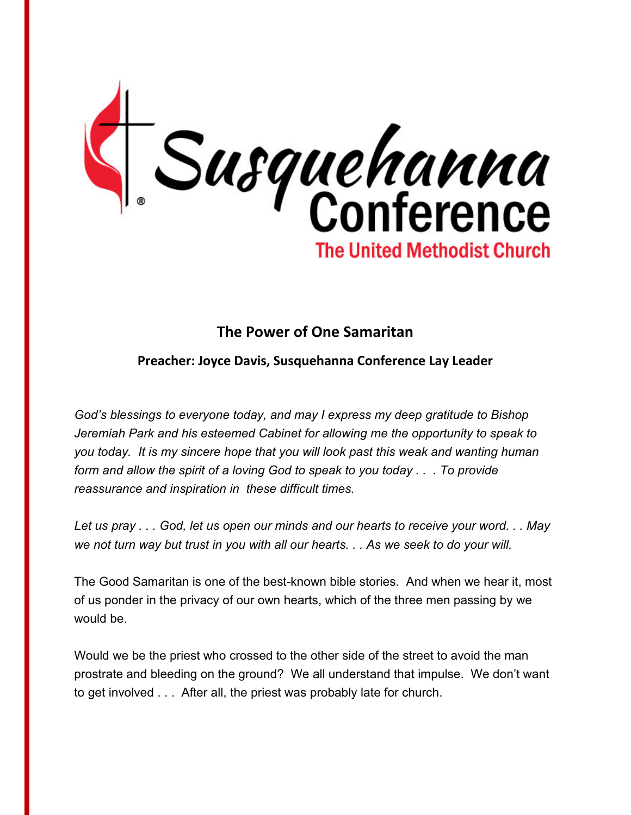

## **The Power of One Samaritan**

## **Preacher: Joyce Davis, Susquehanna Conference Lay Leader**

*God's blessings to everyone today, and may I express my deep gratitude to Bishop Jeremiah Park and his esteemed Cabinet for allowing me the opportunity to speak to you today. It is my sincere hope that you will look past this weak and wanting human form and allow the spirit of a loving God to speak to you today . . . To provide reassurance and inspiration in these difficult times.*

*Let us pray . . . God, let us open our minds and our hearts to receive your word. . . May we not turn way but trust in you with all our hearts. . . As we seek to do your will.*

The Good Samaritan is one of the best-known bible stories. And when we hear it, most of us ponder in the privacy of our own hearts, which of the three men passing by we would be.

Would we be the priest who crossed to the other side of the street to avoid the man prostrate and bleeding on the ground? We all understand that impulse. We don't want to get involved . . . After all, the priest was probably late for church.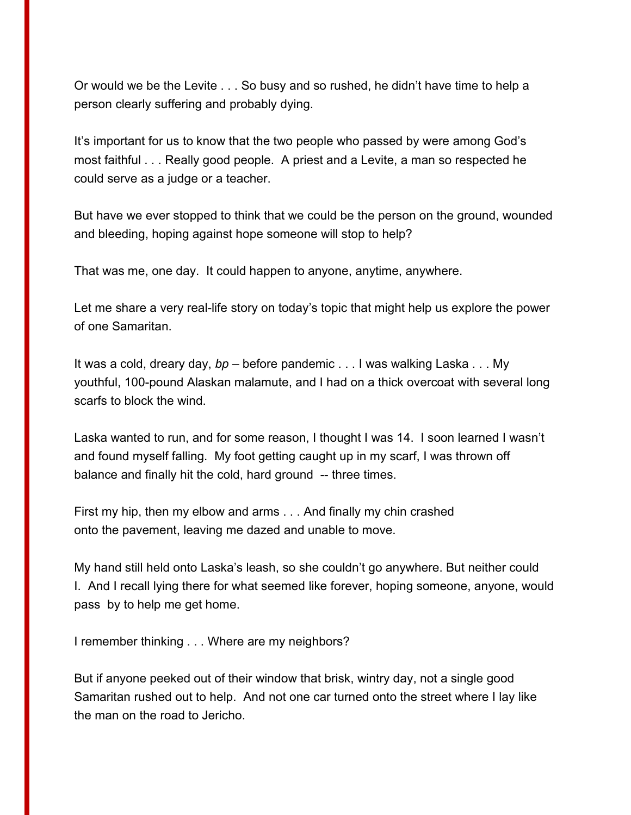Or would we be the Levite . . . So busy and so rushed, he didn't have time to help a person clearly suffering and probably dying.

It's important for us to know that the two people who passed by were among God's most faithful . . . Really good people. A priest and a Levite, a man so respected he could serve as a judge or a teacher.

But have we ever stopped to think that we could be the person on the ground, wounded and bleeding, hoping against hope someone will stop to help?

That was me, one day. It could happen to anyone, anytime, anywhere.

Let me share a very real-life story on today's topic that might help us explore the power of one Samaritan.

It was a cold, dreary day, *bp* – before pandemic . . . I was walking Laska . . . My youthful, 100-pound Alaskan malamute, and I had on a thick overcoat with several long scarfs to block the wind.

Laska wanted to run, and for some reason, I thought I was 14. I soon learned I wasn't and found myself falling. My foot getting caught up in my scarf, I was thrown off balance and finally hit the cold, hard ground -- three times.

First my hip, then my elbow and arms . . . And finally my chin crashed onto the pavement, leaving me dazed and unable to move.

My hand still held onto Laska's leash, so she couldn't go anywhere. But neither could I. And I recall lying there for what seemed like forever, hoping someone, anyone, would pass by to help me get home.

I remember thinking . . . Where are my neighbors?

But if anyone peeked out of their window that brisk, wintry day, not a single good Samaritan rushed out to help. And not one car turned onto the street where I lay like the man on the road to Jericho.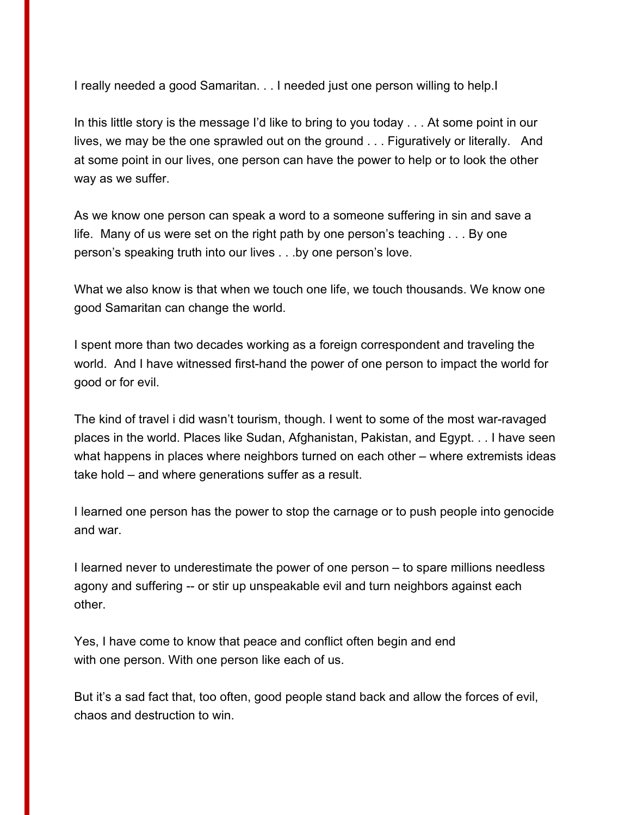I really needed a good Samaritan. . . I needed just one person willing to help.I

In this little story is the message I'd like to bring to you today . . . At some point in our lives, we may be the one sprawled out on the ground . . . Figuratively or literally. And at some point in our lives, one person can have the power to help or to look the other way as we suffer.

As we know one person can speak a word to a someone suffering in sin and save a life. Many of us were set on the right path by one person's teaching . . . By one person's speaking truth into our lives . . .by one person's love.

What we also know is that when we touch one life, we touch thousands. We know one good Samaritan can change the world.

I spent more than two decades working as a foreign correspondent and traveling the world. And I have witnessed first-hand the power of one person to impact the world for good or for evil.

The kind of travel i did wasn't tourism, though. I went to some of the most war-ravaged places in the world. Places like Sudan, Afghanistan, Pakistan, and Egypt. . . I have seen what happens in places where neighbors turned on each other – where extremists ideas take hold – and where generations suffer as a result.

I learned one person has the power to stop the carnage or to push people into genocide and war.

I learned never to underestimate the power of one person – to spare millions needless agony and suffering -- or stir up unspeakable evil and turn neighbors against each other.

Yes, I have come to know that peace and conflict often begin and end with one person. With one person like each of us.

But it's a sad fact that, too often, good people stand back and allow the forces of evil, chaos and destruction to win.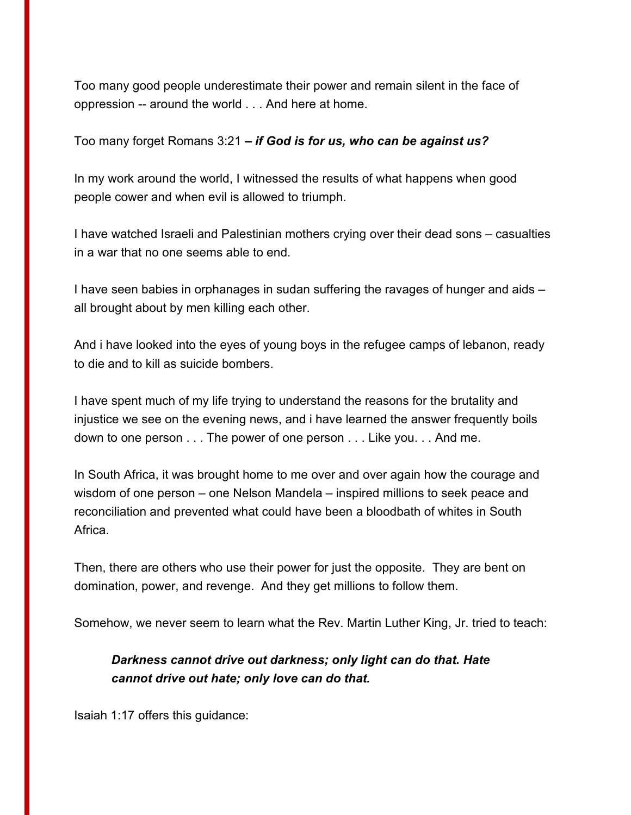Too many good people underestimate their power and remain silent in the face of oppression -- around the world . . . And here at home.

Too many forget Romans 3:21 *– if God is for us, who can be against us?*

In my work around the world, I witnessed the results of what happens when good people cower and when evil is allowed to triumph.

I have watched Israeli and Palestinian mothers crying over their dead sons – casualties in a war that no one seems able to end.

I have seen babies in orphanages in sudan suffering the ravages of hunger and aids – all brought about by men killing each other.

And i have looked into the eyes of young boys in the refugee camps of lebanon, ready to die and to kill as suicide bombers.

I have spent much of my life trying to understand the reasons for the brutality and injustice we see on the evening news, and i have learned the answer frequently boils down to one person . . . The power of one person . . . Like you. . . And me.

In South Africa, it was brought home to me over and over again how the courage and wisdom of one person – one Nelson Mandela – inspired millions to seek peace and reconciliation and prevented what could have been a bloodbath of whites in South Africa.

Then, there are others who use their power for just the opposite. They are bent on domination, power, and revenge. And they get millions to follow them.

Somehow, we never seem to learn what the Rev. Martin Luther King, Jr. tried to teach:

## *Darkness cannot drive out darkness; only light can do that. Hate cannot drive out hate; only love can do that.*

Isaiah 1:17 offers this guidance: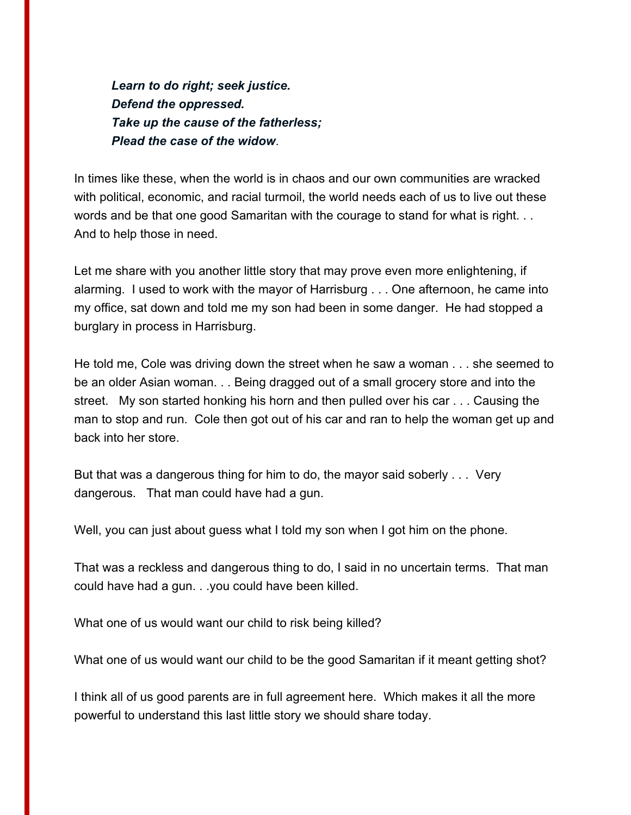*Learn to do right; seek justice. Defend the oppressed. Take up the cause of the fatherless; Plead the case of the widow*.

In times like these, when the world is in chaos and our own communities are wracked with political, economic, and racial turmoil, the world needs each of us to live out these words and be that one good Samaritan with the courage to stand for what is right. . . And to help those in need.

Let me share with you another little story that may prove even more enlightening, if alarming. I used to work with the mayor of Harrisburg . . . One afternoon, he came into my office, sat down and told me my son had been in some danger. He had stopped a burglary in process in Harrisburg.

He told me, Cole was driving down the street when he saw a woman . . . she seemed to be an older Asian woman. . . Being dragged out of a small grocery store and into the street. My son started honking his horn and then pulled over his car . . . Causing the man to stop and run. Cole then got out of his car and ran to help the woman get up and back into her store.

But that was a dangerous thing for him to do, the mayor said soberly . . . Very dangerous. That man could have had a gun.

Well, you can just about guess what I told my son when I got him on the phone.

That was a reckless and dangerous thing to do, I said in no uncertain terms. That man could have had a gun. . .you could have been killed.

What one of us would want our child to risk being killed?

What one of us would want our child to be the good Samaritan if it meant getting shot?

I think all of us good parents are in full agreement here. Which makes it all the more powerful to understand this last little story we should share today.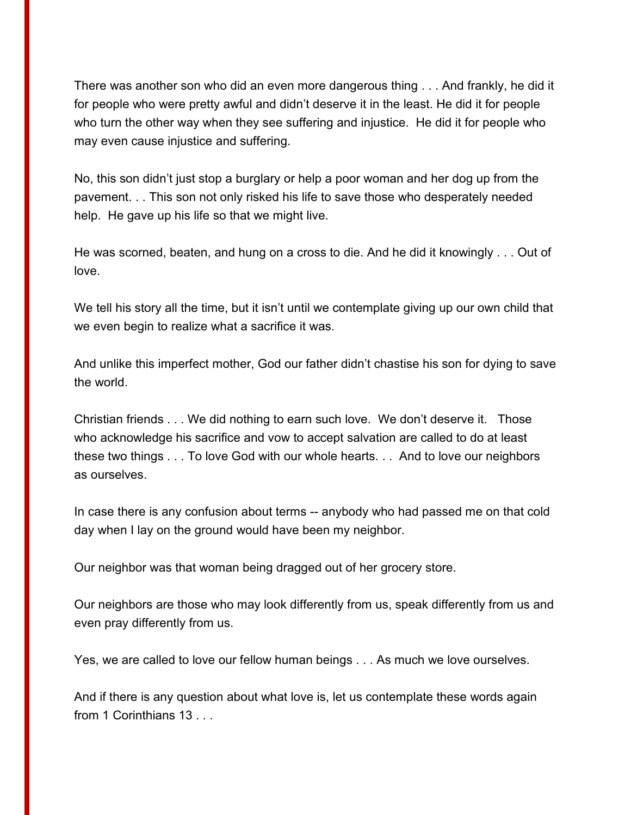There was another son who did an even more dangerous thing . . . And frankly, he did it for people who were pretty awful and didn't deserve it in the least. He did it for people who turn the other way when they see suffering and injustice. He did it for people who may even cause injustice and suffering.

No, this son didn't just stop a burglary or help a poor woman and her dog up from the pavement. . . This son not only risked his life to save those who desperately needed help. He gave up his life so that we might live.

He was scorned, beaten, and hung on a cross to die. And he did it knowingly . . . Out of love.

We tell his story all the time, but it isn't until we contemplate giving up our own child that we even begin to realize what a sacrifice it was.

And unlike this imperfect mother, God our father didn't chastise his son for dying to save the world.

Christian friends . . . We did nothing to earn such love. We don't deserve it. Those who acknowledge his sacrifice and vow to accept salvation are called to do at least these two things . . . To love God with our whole hearts. . . And to love our neighbors as ourselves.

In case there is any confusion about terms -- anybody who had passed me on that cold day when I lay on the ground would have been my neighbor.

Our neighbor was that woman being dragged out of her grocery store.

Our neighbors are those who may look differently from us, speak differently from us and even pray differently from us.

Yes, we are called to love our fellow human beings . . . As much we love ourselves.

And if there is any question about what love is, let us contemplate these words again from 1 Corinthians 13 . . .